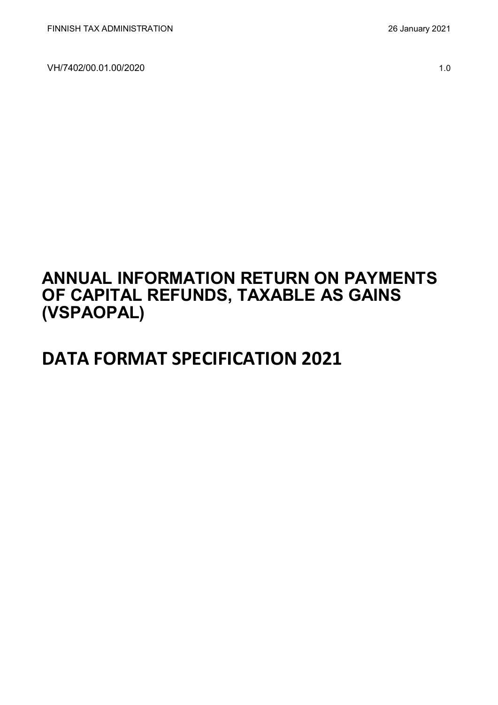# **ANNUAL INFORMATION RETURN ON PAYMENTS OF CAPITAL REFUNDS, TAXABLE AS GAINS (VSPAOPAL)**

# **DATA FORMAT SPECIFICATION 2021**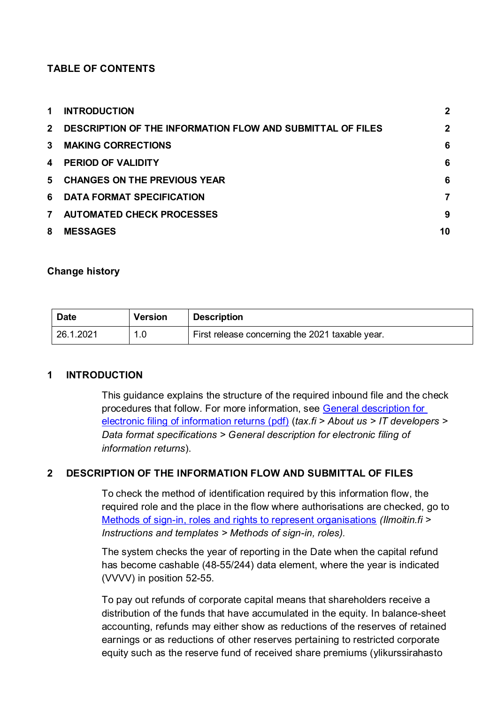### **TABLE OF CONTENTS**

| $\mathbf 1$  | <b>INTRODUCTION</b>                                          | $\mathbf 2$  |
|--------------|--------------------------------------------------------------|--------------|
|              | 2 DESCRIPTION OF THE INFORMATION FLOW AND SUBMITTAL OF FILES | $\mathbf{2}$ |
| $\mathbf{3}$ | <b>MAKING CORRECTIONS</b>                                    | 6            |
| 4            | <b>PERIOD OF VALIDITY</b>                                    | 6            |
| 5            | <b>CHANGES ON THE PREVIOUS YEAR</b>                          | 6            |
|              | 6 DATA FORMAT SPECIFICATION                                  | 7            |
| $7^{\circ}$  | <b>AUTOMATED CHECK PROCESSES</b>                             | 9            |
| 8            | <b>MESSAGES</b>                                              | 10           |

#### **Change history**

| <b>Date</b> | <b>Version</b> | <b>Description</b>                              |
|-------------|----------------|-------------------------------------------------|
| 26.1.2021   |                | First release concerning the 2021 taxable year. |

#### <span id="page-1-0"></span>**1 INTRODUCTION**

This guidance explains the structure of the required inbound file and the check procedures that follow. For more information, see [General description for](https://www.vero.fi/globalassets/tietoa-verohallinnosta/ohjelmistokehittajille/finnish-tax-administration_electronic-filing-of-information-returns-general-description.pdf)  [electronic filing of information returns \(pdf\)](https://www.vero.fi/globalassets/tietoa-verohallinnosta/ohjelmistokehittajille/finnish-tax-administration_electronic-filing-of-information-returns-general-description.pdf) (*tax.fi > About us > IT developers > Data format specifications > General description for electronic filing of information returns*).

#### <span id="page-1-1"></span>**2 DESCRIPTION OF THE INFORMATION FLOW AND SUBMITTAL OF FILES**

To check the method of identification required by this information flow, the required role and the place in the flow where authorisations are checked, go to [Methods of sign-in, roles and rights to represent organisations](https://www.ilmoitin.fi/webtamo/sivut/IlmoituslajiRoolit?kieli=en&tv=VSPAOPAL) *[\(Ilmoitin.fi >](https://www.ilmoitin.fi/webtamo/sivut/IlmoituslajiRoolit?tv=VSY02C)  [Instructions and templates > Methods of sign-in, roles\)](https://www.ilmoitin.fi/webtamo/sivut/IlmoituslajiRoolit?tv=VSY02C).*

The system checks the year of reporting in the Date when the capital refund has become cashable (48-55/244) data element, where the year is indicated (VVVV) in position 52-55.

To pay out refunds of corporate capital means that shareholders receive a distribution of the funds that have accumulated in the equity. In balance-sheet accounting, refunds may either show as reductions of the reserves of retained earnings or as reductions of other reserves pertaining to restricted corporate equity such as the reserve fund of received share premiums (ylikurssirahasto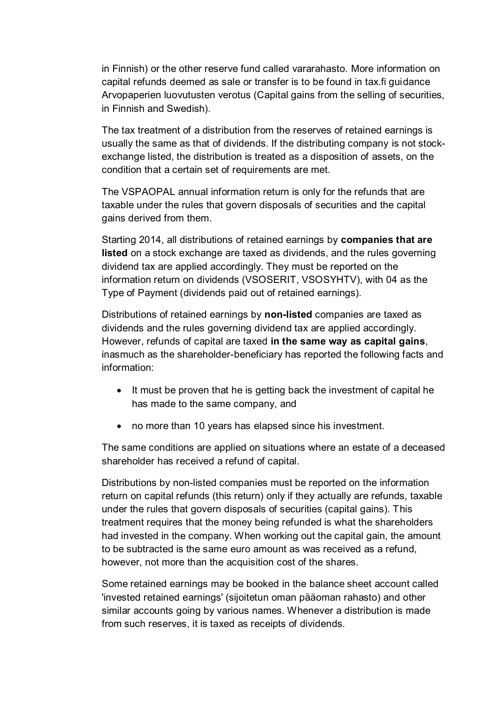in Finnish) or the other reserve fund called vararahasto. More information on capital refunds deemed as sale or transfer is to be found in tax.fi guidance Arvopaperien luovutusten verotus (Capital gains from the selling of securities, in Finnish and Swedish).

The tax treatment of a distribution from the reserves of retained earnings is usually the same as that of dividends. If the distributing company is not stockexchange listed, the distribution is treated as a disposition of assets, on the condition that a certain set of requirements are met.

The VSPAOPAL annual information return is only for the refunds that are taxable under the rules that govern disposals of securities and the capital gains derived from them.

Starting 2014, all distributions of retained earnings by **companies that are listed** on a stock exchange are taxed as dividends, and the rules governing dividend tax are applied accordingly. They must be reported on the information return on dividends (VSOSERIT, VSOSYHTV), with 04 as the Type of Payment (dividends paid out of retained earnings).

Distributions of retained earnings by **non-listed** companies are taxed as dividends and the rules governing dividend tax are applied accordingly. However, refunds of capital are taxed **in the same way as capital gains**, inasmuch as the shareholder-beneficiary has reported the following facts and information:

- It must be proven that he is getting back the investment of capital he has made to the same company, and
- no more than 10 years has elapsed since his investment.

The same conditions are applied on situations where an estate of a deceased shareholder has received a refund of capital.

Distributions by non-listed companies must be reported on the information return on capital refunds (this return) only if they actually are refunds, taxable under the rules that govern disposals of securities (capital gains). This treatment requires that the money being refunded is what the shareholders had invested in the company. When working out the capital gain, the amount to be subtracted is the same euro amount as was received as a refund, however, not more than the acquisition cost of the shares.

Some retained earnings may be booked in the balance sheet account called 'invested retained earnings' (sijoitetun oman pääoman rahasto) and other similar accounts going by various names. Whenever a distribution is made from such reserves, it is taxed as receipts of dividends.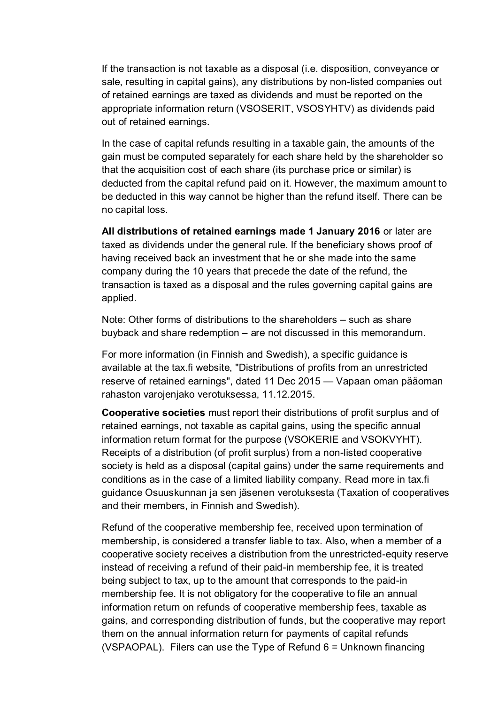If the transaction is not taxable as a disposal (i.e. disposition, conveyance or sale, resulting in capital gains), any distributions by non-listed companies out of retained earnings are taxed as dividends and must be reported on the appropriate information return (VSOSERIT, VSOSYHTV) as dividends paid out of retained earnings.

In the case of capital refunds resulting in a taxable gain, the amounts of the gain must be computed separately for each share held by the shareholder so that the acquisition cost of each share (its purchase price or similar) is deducted from the capital refund paid on it. However, the maximum amount to be deducted in this way cannot be higher than the refund itself. There can be no capital loss.

**All distributions of retained earnings made 1 January 2016** or later are taxed as dividends under the general rule. If the beneficiary shows proof of having received back an investment that he or she made into the same company during the 10 years that precede the date of the refund, the transaction is taxed as a disposal and the rules governing capital gains are applied.

Note: Other forms of distributions to the shareholders – such as share buyback and share redemption – are not discussed in this memorandum.

For more information (in Finnish and Swedish), a specific guidance is available at the tax.fi website, "Distributions of profits from an unrestricted reserve of retained earnings", dated 11 Dec 2015 — Vapaan oman pääoman rahaston varojenjako verotuksessa, 11.12.2015.

**Cooperative societies** must report their distributions of profit surplus and of retained earnings, not taxable as capital gains, using the specific annual information return format for the purpose (VSOKERIE and VSOKVYHT). Receipts of a distribution (of profit surplus) from a non-listed cooperative society is held as a disposal (capital gains) under the same requirements and conditions as in the case of a limited liability company. Read more in tax.fi guidance Osuuskunnan ja sen jäsenen verotuksesta (Taxation of cooperatives and their members, in Finnish and Swedish).

Refund of the cooperative membership fee, received upon termination of membership, is considered a transfer liable to tax. Also, when a member of a cooperative society receives a distribution from the unrestricted-equity reserve instead of receiving a refund of their paid-in membership fee, it is treated being subject to tax, up to the amount that corresponds to the paid-in membership fee. It is not obligatory for the cooperative to file an annual information return on refunds of cooperative membership fees, taxable as gains, and corresponding distribution of funds, but the cooperative may report them on the annual information return for payments of capital refunds (VSPAOPAL). Filers can use the Type of Refund  $6 =$  Unknown financing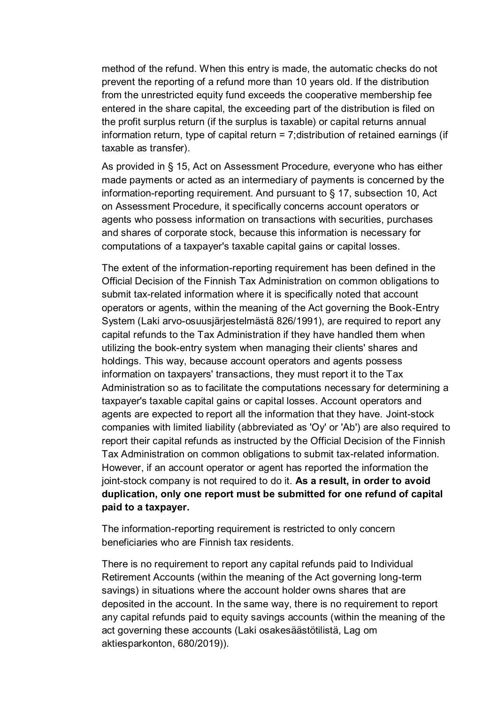method of the refund. When this entry is made, the automatic checks do not prevent the reporting of a refund more than 10 years old. If the distribution from the unrestricted equity fund exceeds the cooperative membership fee entered in the share capital, the exceeding part of the distribution is filed on the profit surplus return (if the surplus is taxable) or capital returns annual information return, type of capital return = 7;distribution of retained earnings (if taxable as transfer).

As provided in § 15, Act on Assessment Procedure, everyone who has either made payments or acted as an intermediary of payments is concerned by the information-reporting requirement. And pursuant to § 17, subsection 10, Act on Assessment Procedure, it specifically concerns account operators or agents who possess information on transactions with securities, purchases and shares of corporate stock, because this information is necessary for computations of a taxpayer's taxable capital gains or capital losses.

The extent of the information-reporting requirement has been defined in the Official Decision of the Finnish Tax Administration on common obligations to submit tax-related information where it is specifically noted that account operators or agents, within the meaning of the Act governing the Book-Entry System (Laki arvo-osuusjärjestelmästä 826/1991), are required to report any capital refunds to the Tax Administration if they have handled them when utilizing the book-entry system when managing their clients' shares and holdings. This way, because account operators and agents possess information on taxpayers' transactions, they must report it to the Tax Administration so as to facilitate the computations necessary for determining a taxpayer's taxable capital gains or capital losses. Account operators and agents are expected to report all the information that they have. Joint-stock companies with limited liability (abbreviated as 'Oy' or 'Ab') are also required to report their capital refunds as instructed by the Official Decision of the Finnish Tax Administration on common obligations to submit tax-related information. However, if an account operator or agent has reported the information the joint-stock company is not required to do it. **As a result, in order to avoid duplication, only one report must be submitted for one refund of capital paid to a taxpayer.**

The information-reporting requirement is restricted to only concern beneficiaries who are Finnish tax residents.

There is no requirement to report any capital refunds paid to Individual Retirement Accounts (within the meaning of the Act governing long-term savings) in situations where the account holder owns shares that are deposited in the account. In the same way, there is no requirement to report any capital refunds paid to equity savings accounts (within the meaning of the act governing these accounts (Laki osakesäästötilistä, Lag om aktiesparkonton, 680/2019)).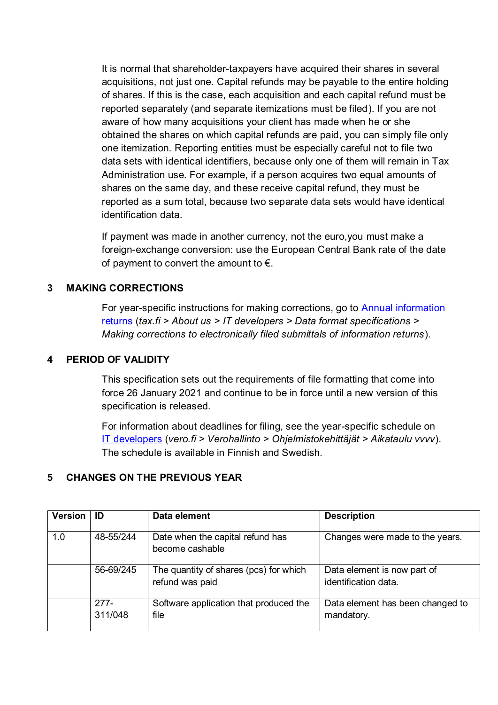It is normal that shareholder-taxpayers have acquired their shares in several acquisitions, not just one. Capital refunds may be payable to the entire holding of shares. If this is the case, each acquisition and each capital refund must be reported separately (and separate itemizations must be filed). If you are not aware of how many acquisitions your client has made when he or she obtained the shares on which capital refunds are paid, you can simply file only one itemization. Reporting entities must be especially careful not to file two data sets with identical identifiers, because only one of them will remain in Tax Administration use. For example, if a person acquires two equal amounts of shares on the same day, and these receive capital refund, they must be reported as a sum total, because two separate data sets would have identical identification data.

If payment was made in another currency, not the euro,you must make a foreign-exchange conversion: use the European Central Bank rate of the date of payment to convert the amount to  $\epsilon$ .

#### <span id="page-5-0"></span>**3 MAKING CORRECTIONS**

For year-specific instructions for making corrections, go to [Annual information](https://www.vero.fi/en/About-us/it_developer/data-format-specifications/annual_information_returns__instruction/)  [returns](https://www.vero.fi/en/About-us/it_developer/data-format-specifications/annual_information_returns__instruction/) (*tax.fi > About us > IT developers > Data format specifications > Making corrections to electronically filed submittals of information returns*).

#### <span id="page-5-1"></span>**4 PERIOD OF VALIDITY**

This specification sets out the requirements of file formatting that come into force 26 January 2021 and continue to be in force until a new version of this specification is released.

For information about deadlines for filing, see the year-specific schedule on [IT developers](https://www.vero.fi/tietoa-verohallinnosta/kehittaja/) (*vero.fi > Verohallinto > Ohjelmistokehittäjät > Aikataulu vvvv*). The schedule is available in Finnish and Swedish.

#### <span id="page-5-2"></span>**5 CHANGES ON THE PREVIOUS YEAR**

| Version | ID                | Data element                                              | <b>Description</b>                                  |
|---------|-------------------|-----------------------------------------------------------|-----------------------------------------------------|
| 1.0     | 48-55/244         | Date when the capital refund has<br>become cashable       | Changes were made to the years.                     |
|         | 56-69/245         | The quantity of shares (pcs) for which<br>refund was paid | Data element is now part of<br>identification data. |
|         | $277-$<br>311/048 | Software application that produced the<br>file            | Data element has been changed to<br>mandatory.      |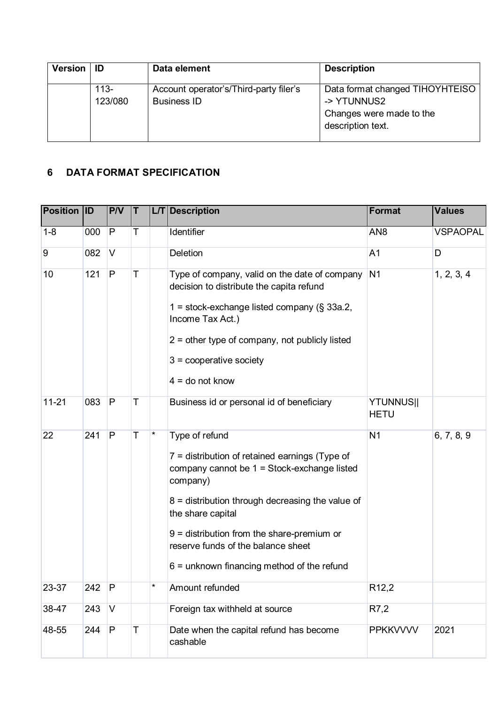| <b>Version</b> | - ID            | Data element                                                 | <b>Description</b>                                                                              |
|----------------|-----------------|--------------------------------------------------------------|-------------------------------------------------------------------------------------------------|
|                | 113-<br>123/080 | Account operator's/Third-party filer's<br><b>Business ID</b> | Data format changed TIHOYHTEISO<br>-> YTUNNUS2<br>Changes were made to the<br>description text. |

# <span id="page-6-0"></span>**6 DATA FORMAT SPECIFICATION**

| <b>Position ID</b> |     | P/V          | T           |         | <b>L/T</b> Description                                                                                                                                                                                                                                                                                                                         | <b>Format</b>                   | <b>Values</b>   |
|--------------------|-----|--------------|-------------|---------|------------------------------------------------------------------------------------------------------------------------------------------------------------------------------------------------------------------------------------------------------------------------------------------------------------------------------------------------|---------------------------------|-----------------|
| $1 - 8$            | 000 | $\mathsf{P}$ | T           |         | Identifier                                                                                                                                                                                                                                                                                                                                     | AN <sub>8</sub>                 | <b>VSPAOPAL</b> |
| 9                  | 082 | $\vee$       |             |         | <b>Deletion</b>                                                                                                                                                                                                                                                                                                                                | A <sub>1</sub>                  | D               |
| 10                 | 121 | $\mathsf{P}$ | Τ           |         | Type of company, valid on the date of company<br>decision to distribute the capita refund<br>1 = stock-exchange listed company ( $\S$ 33a.2,<br>Income Tax Act.)<br>$2$ = other type of company, not publicly listed<br>$3 =$ cooperative society<br>$4 =$ do not know                                                                         | N <sub>1</sub>                  | 1, 2, 3, 4      |
| $11 - 21$          | 083 | P            | Τ           |         | Business id or personal id of beneficiary                                                                                                                                                                                                                                                                                                      | <b>YTUNNUS  </b><br><b>HETU</b> |                 |
| 22                 | 241 | ${\sf P}$    | Τ           | $\ast$  | Type of refund<br>$7 =$ distribution of retained earnings (Type of<br>company cannot be 1 = Stock-exchange listed<br>company)<br>$8$ = distribution through decreasing the value of<br>the share capital<br>$9$ = distribution from the share-premium or<br>reserve funds of the balance sheet<br>$6$ = unknown financing method of the refund | N <sub>1</sub>                  | 6, 7, 8, 9      |
| 23-37              | 242 | P            |             | $\star$ | Amount refunded                                                                                                                                                                                                                                                                                                                                | R <sub>12</sub> ,2              |                 |
| 38-47              | 243 | V            |             |         | Foreign tax withheld at source                                                                                                                                                                                                                                                                                                                 | R7,2                            |                 |
| 48-55              | 244 | P            | $\mathsf T$ |         | Date when the capital refund has become<br>cashable                                                                                                                                                                                                                                                                                            | <b>PPKKWWW</b>                  | 2021            |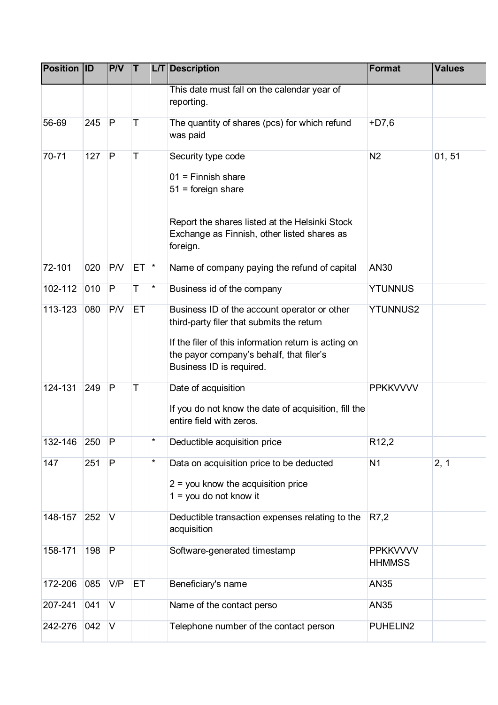| <b>Position ID</b> |     | P/V          | IΤ       | L/T | <b>Description</b>                                                                                                                                                                                                        | Format                           | <b>Values</b> |
|--------------------|-----|--------------|----------|-----|---------------------------------------------------------------------------------------------------------------------------------------------------------------------------------------------------------------------------|----------------------------------|---------------|
|                    |     |              |          |     | This date must fall on the calendar year of<br>reporting.                                                                                                                                                                 |                                  |               |
| 56-69              | 245 | P            | Τ        |     | The quantity of shares (pcs) for which refund<br>was paid                                                                                                                                                                 | $+D7.6$                          |               |
| 70-71              | 127 | P            | T        |     | Security type code<br>$01$ = Finnish share<br>$51$ = foreign share<br>Report the shares listed at the Helsinki Stock<br>Exchange as Finnish, other listed shares as<br>foreign.                                           | N <sub>2</sub>                   | 01, 51        |
| 72-101             | 020 | <b>P/V</b>   | $ET$ $*$ |     | Name of company paying the refund of capital                                                                                                                                                                              | AN30                             |               |
| 102-112            | 010 | P            | Τ        | *   | Business id of the company                                                                                                                                                                                                | <b>YTUNNUS</b>                   |               |
| 113-123            | 080 | P/V          | ET       |     | Business ID of the account operator or other<br>third-party filer that submits the return<br>If the filer of this information return is acting on<br>the payor company's behalf, that filer's<br>Business ID is required. | <b>YTUNNUS2</b>                  |               |
| 124-131            | 249 | $\mathsf{P}$ | T        |     | Date of acquisition<br>If you do not know the date of acquisition, fill the<br>entire field with zeros.                                                                                                                   | <b>PPKKVVVV</b>                  |               |
| 132-146            | 250 | P            |          | *   | Deductible acquisition price                                                                                                                                                                                              | R <sub>12</sub> ,2               |               |
| 147                | 251 | $\mathsf{P}$ |          | *   | Data on acquisition price to be deducted<br>$2 =$ you know the acquisition price<br>$1 =$ you do not know it                                                                                                              | N <sub>1</sub>                   | 2, 1          |
| 148-157            | 252 | $\vee$       |          |     | Deductible transaction expenses relating to the<br>acquisition                                                                                                                                                            | R7,2                             |               |
| 158-171            | 198 | P            |          |     | Software-generated timestamp                                                                                                                                                                                              | <b>PPKKVVVV</b><br><b>HHMMSS</b> |               |
| 172-206            | 085 | V/P          | ET       |     | Beneficiary's name                                                                                                                                                                                                        | <b>AN35</b>                      |               |
| 207-241            | 041 | V            |          |     | Name of the contact perso                                                                                                                                                                                                 | AN35                             |               |
| 242-276            | 042 | V            |          |     | Telephone number of the contact person                                                                                                                                                                                    | PUHELIN2                         |               |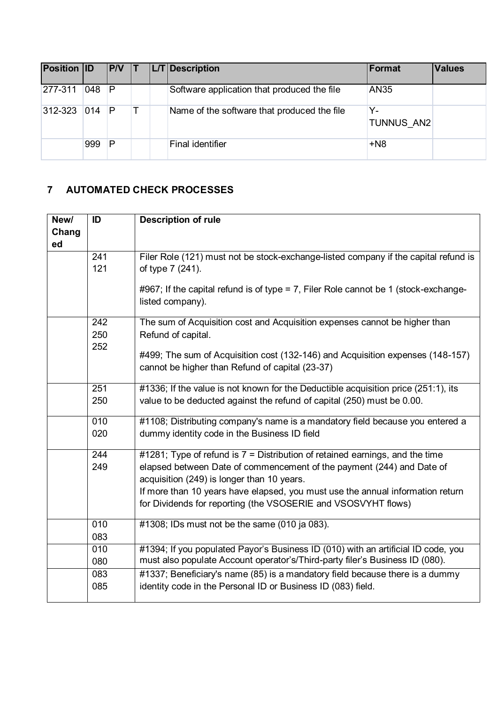| <b>Position ID</b> |               | P/V |  | L/T Description                             | Format           | <b>Values</b> |
|--------------------|---------------|-----|--|---------------------------------------------|------------------|---------------|
| 277-311            | 048           | P   |  | Software application that produced the file | <b>AN35</b>      |               |
| 312-323            | $ 014\rangle$ | IP. |  | Name of the software that produced the file | Y-<br>TUNNUS AN2 |               |
|                    | 999           | P   |  | Final identifier                            | $+N8$            |               |

## <span id="page-8-0"></span>**7 AUTOMATED CHECK PROCESSES**

| New/  | ID  | <b>Description of rule</b>                                                                                          |
|-------|-----|---------------------------------------------------------------------------------------------------------------------|
| Chang |     |                                                                                                                     |
| ed    |     |                                                                                                                     |
|       | 241 | Filer Role (121) must not be stock-exchange-listed company if the capital refund is                                 |
|       | 121 | of type 7 (241).                                                                                                    |
|       |     | #967; If the capital refund is of type = 7, Filer Role cannot be 1 (stock-exchange-<br>listed company).             |
|       | 242 | The sum of Acquisition cost and Acquisition expenses cannot be higher than                                          |
|       | 250 | Refund of capital.                                                                                                  |
|       | 252 |                                                                                                                     |
|       |     | #499; The sum of Acquisition cost (132-146) and Acquisition expenses (148-157)                                      |
|       |     | cannot be higher than Refund of capital (23-37)                                                                     |
|       | 251 | #1336; If the value is not known for the Deductible acquisition price (251:1), its                                  |
|       | 250 | value to be deducted against the refund of capital (250) must be 0.00.                                              |
|       | 010 | #1108; Distributing company's name is a mandatory field because you entered a                                       |
|       | 020 | dummy identity code in the Business ID field                                                                        |
|       | 244 | #1281; Type of refund is $7 =$ Distribution of retained earnings, and the time                                      |
|       | 249 | elapsed between Date of commencement of the payment (244) and Date of<br>acquisition (249) is longer than 10 years. |
|       |     | If more than 10 years have elapsed, you must use the annual information return                                      |
|       |     | for Dividends for reporting (the VSOSERIE and VSOSVYHT flows)                                                       |
|       | 010 | $#1308$ ; IDs must not be the same (010 ja 083).                                                                    |
|       | 083 |                                                                                                                     |
|       | 010 | #1394; If you populated Payor's Business ID (010) with an artificial ID code, you                                   |
|       | 080 | must also populate Account operator's/Third-party filer's Business ID (080).                                        |
|       | 083 | #1337; Beneficiary's name (85) is a mandatory field because there is a dummy                                        |
|       | 085 | identity code in the Personal ID or Business ID (083) field.                                                        |